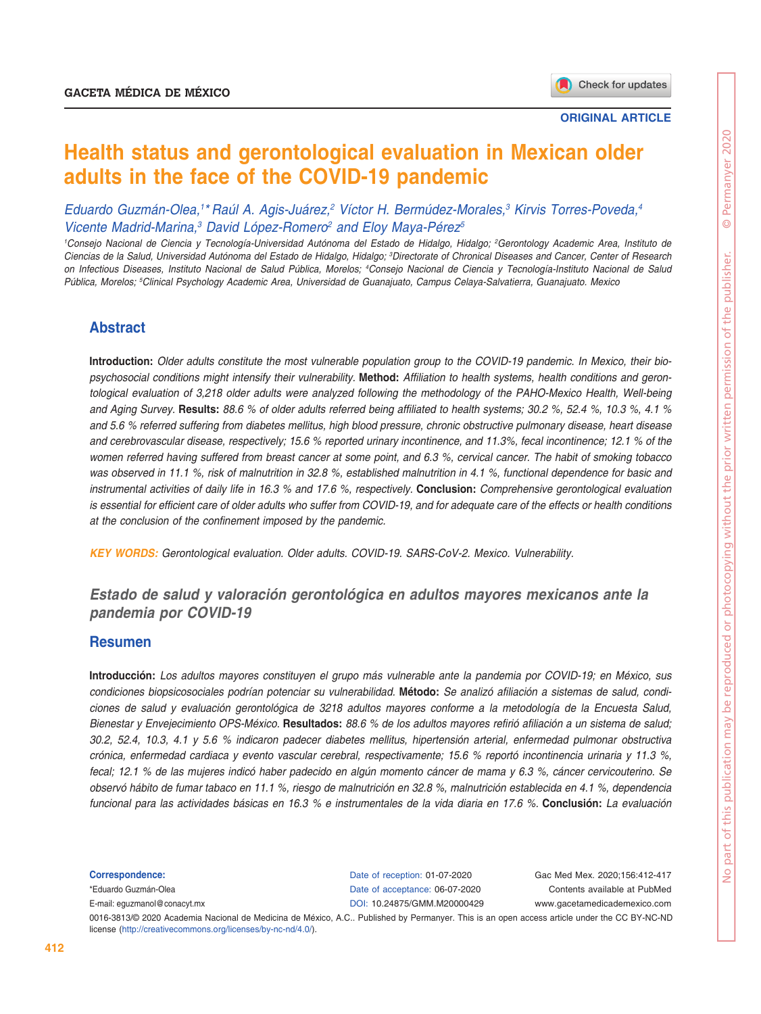# **Health status and gerontological evaluation in Mexican older adults in the face of the COVID-19 pandemic**

*Eduardo Guzmán-Olea,1 \* Raúl A. Agis-Juárez,2 Víctor H. Bermúdez-Morales,3 Kirvis Torres-Poveda,4* Vicente Madrid-Marina,<sup>3</sup> David López-Romero<sup>2</sup> and Eloy Maya-Pérez<sup>5</sup>

*1 Consejo Nacional de Ciencia y Tecnología-Universidad Autónoma del Estado de Hidalgo, Hidalgo; 2 Gerontology Academic Area, Instituto de Ciencias de la Salud, Universidad Autónoma del Estado de Hidalgo, Hidalgo; 3 Directorate of Chronical Diseases and Cancer, Center of Research on Infectious Diseases, Instituto Nacional de Salud Pública, Morelos; 4 Consejo Nacional de Ciencia y Tecnología-Instituto Nacional de Salud Pública, Morelos; 5 Clinical Psychology Academic Area, Universidad de Guanajuato, Campus Celaya-Salvatierra, Guanajuato. Mexico*

## **Abstract**

**Introduction:** *Older adults constitute the most vulnerable population group to the COVID-19 pandemic. In Mexico, their biopsychosocial conditions might intensify their vulnerability.* **Method:** *Affiliation to health systems, health conditions and gerontological evaluation of 3,218 older adults were analyzed following the methodology of the PAHO-Mexico Health, Well-being and Aging Survey.* **Results:** *88.6 % of older adults referred being affiliated to health systems; 30.2 %, 52.4 %, 10.3 %, 4.1 % and 5.6 % referred suffering from diabetes mellitus, high blood pressure, chronic obstructive pulmonary disease, heart disease and cerebrovascular disease, respectively; 15.6 % reported urinary incontinence, and 11.3%, fecal incontinence; 12.1 % of the women referred having suffered from breast cancer at some point, and 6.3 %, cervical cancer. The habit of smoking tobacco was observed in 11.1 %, risk of malnutrition in 32.8 %, established malnutrition in 4.1 %, functional dependence for basic and instrumental activities of daily life in 16.3 % and 17.6 %, respectively.* **Conclusion:** *Comprehensive gerontological evaluation is essential for efficient care of older adults who suffer from COVID-19, and for adequate care of the effects or health conditions at the conclusion of the confinement imposed by the pandemic.*

*KEY WORDS: Gerontological evaluation. Older adults. COVID-19. SARS-CoV-2. Mexico. Vulnerability.*

## *Estado de salud y valoración gerontológica en adultos mayores mexicanos ante la pandemia por COVID-19*

## **Resumen**

**Introducción:** *Los adultos mayores constituyen el grupo más vulnerable ante la pandemia por COVID-19; en México, sus condiciones biopsicosociales podrían potenciar su vulnerabilidad.* **Método:** *Se analizó afiliación a sistemas de salud, condiciones de salud y evaluación gerontológica de 3218 adultos mayores conforme a la metodología de la Encuesta Salud, Bienestar y Envejecimiento OPS-México.* **Resultados:** *88.6 % de los adultos mayores refirió afiliación a un sistema de salud; 30.2, 52.4, 10.3, 4.1 y 5.6 % indicaron padecer diabetes mellitus, hipertensión arterial, enfermedad pulmonar obstructiva crónica, enfermedad cardiaca y evento vascular cerebral, respectivamente; 15.6 % reportó incontinencia urinaria y 11.3 %, fecal; 12.1 % de las mujeres indicó haber padecido en algún momento cáncer de mama y 6.3 %, cáncer cervicouterino. Se observó hábito de fumar tabaco en 11.1 %, riesgo de malnutrición en 32.8 %, malnutrición establecida en 4.1 %, dependencia funcional para las actividades básicas en 16.3 % e instrumentales de la vida diaria en 17.6 %.* **Conclusión:** *La evaluación* 

**Correspondence:** \*Eduardo Guzmán-Olea E-mail: [eguzmanol@conacyt.mx](mailto:%20eguzmanol%40conacyt.mx?subject=)

Date of reception: 01-07-2020 Date of acceptance: 06-07-2020 DOI: [10.24875/GMM.M20000429](http://dx.doi.org/10.24875/GMM.M20000429)

Gac Med Mex. 2020;156:412-417 Contents available at PubMed www.gacetamedicademexico.com

0016-3813/© 2020 Academia Nacional de Medicina de México, A.C.. Published by Permanyer. This is an open access article under the CC BY-NC-ND license ([http://creativecommons.org/licenses/by-](http://creativecommons.org/licenses/by-nc-nd/4.0/)nc-nd/4.0/).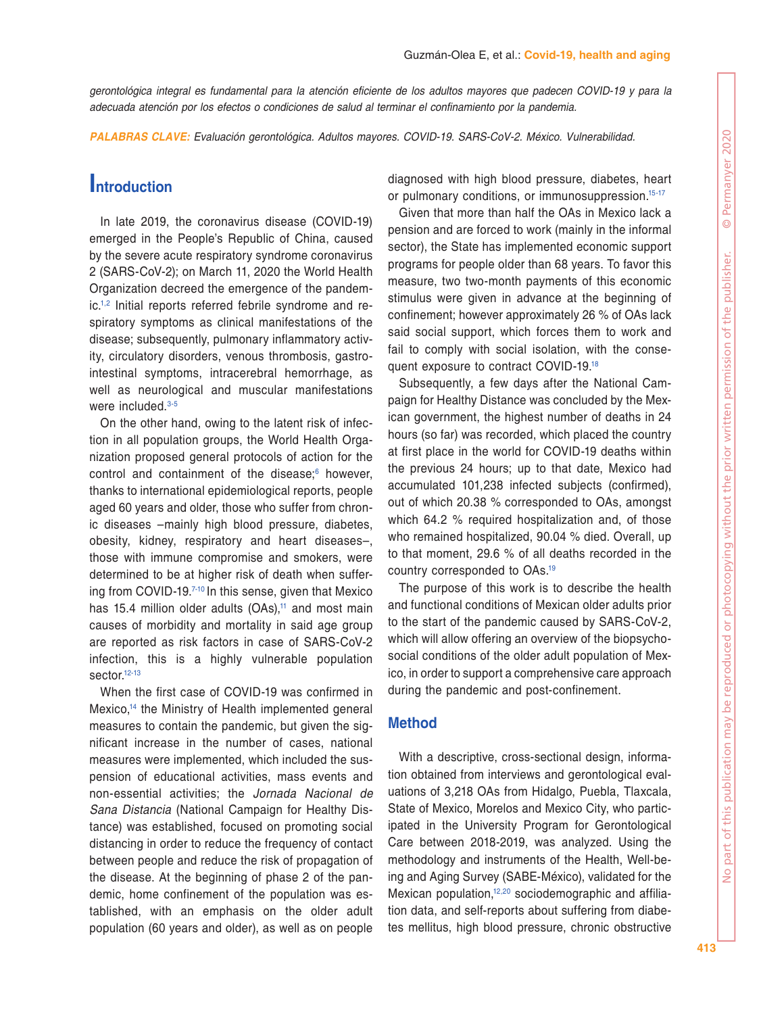*gerontológica integral es fundamental para la atención eficiente de los adultos mayores que padecen COVID-19 y para la adecuada atención por los efectos o condiciones de salud al terminar el confinamiento por la pandemia.*

*PALABRAS CLAVE: Evaluación gerontológica. Adultos mayores. COVID-19. SARS-CoV-2. México. Vulnerabilidad.*

## **Introduction**

In late 2019, the coronavirus disease (COVID-19) emerged in the People's Republic of China, caused by the severe acute respiratory syndrome coronavirus 2 (SARS-CoV-2); on March 11, 2020 the World Health Organization decreed the emergence of the pandemic[.1](#page-5-0),[2](#page-5-1) Initial reports referred febrile syndrome and respiratory symptoms as clinical manifestations of the disease; subsequently, pulmonary inflammatory activity, circulatory disorders, venous thrombosis, gastrointestinal symptoms, intracerebral hemorrhage, as well as neurological and muscular manifestations were included.<sup>[3](#page-5-2)-[5](#page-5-3)</sup>

On the other hand, owing to the latent risk of infection in all population groups, the World Health Organization proposed general protocols of action for the control and containment of the disease: $6$  however, thanks to international epidemiological reports, people aged 60 years and older, those who suffer from chronic diseases –mainly high blood pressure, diabetes, obesity, kidney, respiratory and heart diseases–, those with immune compromise and smokers, were determined to be at higher risk of death when suffering from COVID-19[.7](#page-5-5)[-10](#page-5-6) In this sense, given that Mexico has 15.4 million older adults  $(OAs)$ ,<sup>11</sup> and most main causes of morbidity and mortality in said age group are reported as risk factors in case of SARS-CoV-2 infection, this is a highly vulnerable population sector.<sup>12[-13](#page-5-9)</sup>

When the first case of COVID-19 was confirmed in Mexico,<sup>14</sup> the Ministry of Health implemented general measures to contain the pandemic, but given the significant increase in the number of cases, national measures were implemented, which included the suspension of educational activities, mass events and non-essential activities; the *Jornada Nacional de Sana Distancia* (National Campaign for Healthy Distance) was established, focused on promoting social distancing in order to reduce the frequency of contact between people and reduce the risk of propagation of the disease. At the beginning of phase 2 of the pandemic, home confinement of the population was established, with an emphasis on the older adult population (60 years and older), as well as on people

diagnosed with high blood pressure, diabetes, heart or pulmonary conditions, or immunosuppression.<sup>15[-17](#page-5-12)</sup>

Given that more than half the OAs in Mexico lack a pension and are forced to work (mainly in the informal sector), the State has implemented economic support programs for people older than 68 years. To favor this measure, two two-month payments of this economic stimulus were given in advance at the beginning of confinement; however approximately 26 % of OAs lack said social support, which forces them to work and fail to comply with social isolation, with the consequent exposure to contract COVID-19[.18](#page-5-13)

Subsequently, a few days after the National Campaign for Healthy Distance was concluded by the Mexican government, the highest number of deaths in 24 hours (so far) was recorded, which placed the country at first place in the world for COVID-19 deaths within the previous 24 hours; up to that date, Mexico had accumulated 101,238 infected subjects (confirmed), out of which 20.38 % corresponded to OAs, amongst which 64.2 % required hospitalization and, of those who remained hospitalized, 90.04 % died. Overall, up to that moment, 29.6 % of all deaths recorded in the country corresponded to OAs[.19](#page-5-14)

The purpose of this work is to describe the health and functional conditions of Mexican older adults prior to the start of the pandemic caused by SARS-CoV-2, which will allow offering an overview of the biopsychosocial conditions of the older adult population of Mexico, in order to support a comprehensive care approach during the pandemic and post-confinement.

## **Method**

With a descriptive, cross-sectional design, information obtained from interviews and gerontological evaluations of 3,218 OAs from Hidalgo, Puebla, Tlaxcala, State of Mexico, Morelos and Mexico City, who participated in the University Program for Gerontological Care between 2018-2019, was analyzed. Using the methodology and instruments of the Health, Well-being and Aging Survey (SABE-México), validated for the Mexican population,<sup>12,20</sup> sociodemographic and affiliation data, and self-reports about suffering from diabetes mellitus, high blood pressure, chronic obstructive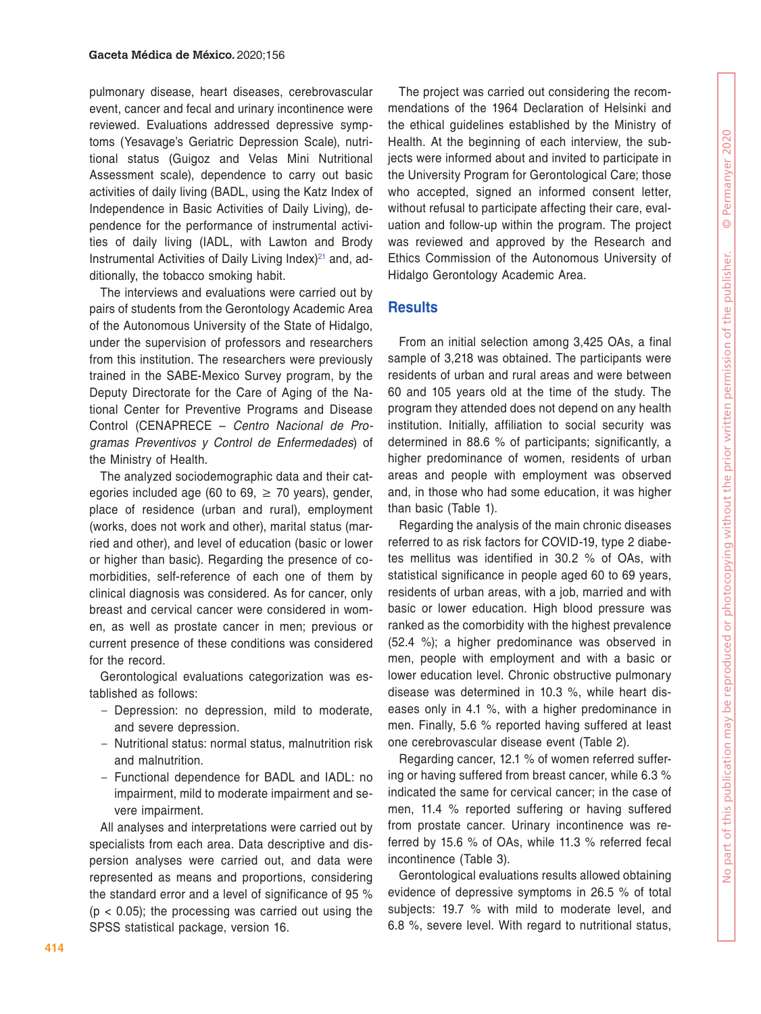pulmonary disease, heart diseases, cerebrovascular event, cancer and fecal and urinary incontinence were reviewed. Evaluations addressed depressive symptoms (Yesavage's Geriatric Depression Scale), nutritional status (Guigoz and Velas Mini Nutritional Assessment scale), dependence to carry out basic activities of daily living (BADL, using the Katz Index of Independence in Basic Activities of Daily Living), dependence for the performance of instrumental activities of daily living (IADL, with Lawton and Brody Instrumental Activities of Daily Living Index $)^{21}$  and, additionally, the tobacco smoking habit.

The interviews and evaluations were carried out by pairs of students from the Gerontology Academic Area of the Autonomous University of the State of Hidalgo, under the supervision of professors and researchers from this institution. The researchers were previously trained in the SABE-Mexico Survey program, by the Deputy Directorate for the Care of Aging of the National Center for Preventive Programs and Disease Control (CENAPRECE – *Centro Nacional de Programas Preventivos y Control de Enfermedades*) of the Ministry of Health.

The analyzed sociodemographic data and their categories included age (60 to 69,  $\geq$  70 years), gender, place of residence (urban and rural), employment (works, does not work and other), marital status (married and other), and level of education (basic or lower or higher than basic). Regarding the presence of comorbidities, self-reference of each one of them by clinical diagnosis was considered. As for cancer, only breast and cervical cancer were considered in women, as well as prostate cancer in men; previous or current presence of these conditions was considered for the record.

Gerontological evaluations categorization was established as follows:

- Depression: no depression, mild to moderate, and severe depression.
- Nutritional status: normal status, malnutrition risk and malnutrition.
- Functional dependence for BADL and IADL: no impairment, mild to moderate impairment and severe impairment.

All analyses and interpretations were carried out by specialists from each area. Data descriptive and dispersion analyses were carried out, and data were represented as means and proportions, considering the standard error and a level of significance of 95 %  $(p < 0.05)$ ; the processing was carried out using the SPSS statistical package, version 16.

The project was carried out considering the recommendations of the 1964 Declaration of Helsinki and the ethical guidelines established by the Ministry of Health. At the beginning of each interview, the subjects were informed about and invited to participate in the University Program for Gerontological Care; those who accepted, signed an informed consent letter, without refusal to participate affecting their care, evaluation and follow-up within the program. The project was reviewed and approved by the Research and Ethics Commission of the Autonomous University of Hidalgo Gerontology Academic Area.

## **Results**

From an initial selection among 3,425 OAs, a final sample of 3,218 was obtained. The participants were residents of urban and rural areas and were between 60 and 105 years old at the time of the study. The program they attended does not depend on any health institution. Initially, affiliation to social security was determined in 88.6 % of participants; significantly, a higher predominance of women, residents of urban areas and people with employment was observed and, in those who had some education, it was higher than basic (Table 1).

Regarding the analysis of the main chronic diseases referred to as risk factors for COVID-19, type 2 diabetes mellitus was identified in 30.2 % of OAs, with statistical significance in people aged 60 to 69 years, residents of urban areas, with a job, married and with basic or lower education. High blood pressure was ranked as the comorbidity with the highest prevalence (52.4 %); a higher predominance was observed in men, people with employment and with a basic or lower education level. Chronic obstructive pulmonary disease was determined in 10.3 %, while heart diseases only in 4.1 %, with a higher predominance in men. Finally, 5.6 % reported having suffered at least one cerebrovascular disease event (Table 2).

Regarding cancer, 12.1 % of women referred suffering or having suffered from breast cancer, while 6.3 % indicated the same for cervical cancer; in the case of men, 11.4 % reported suffering or having suffered from prostate cancer. Urinary incontinence was referred by 15.6 % of OAs, while 11.3 % referred fecal incontinence (Table 3).

Gerontological evaluations results allowed obtaining evidence of depressive symptoms in 26.5 % of total subjects: 19.7 % with mild to moderate level, and 6.8 %, severe level. With regard to nutritional status,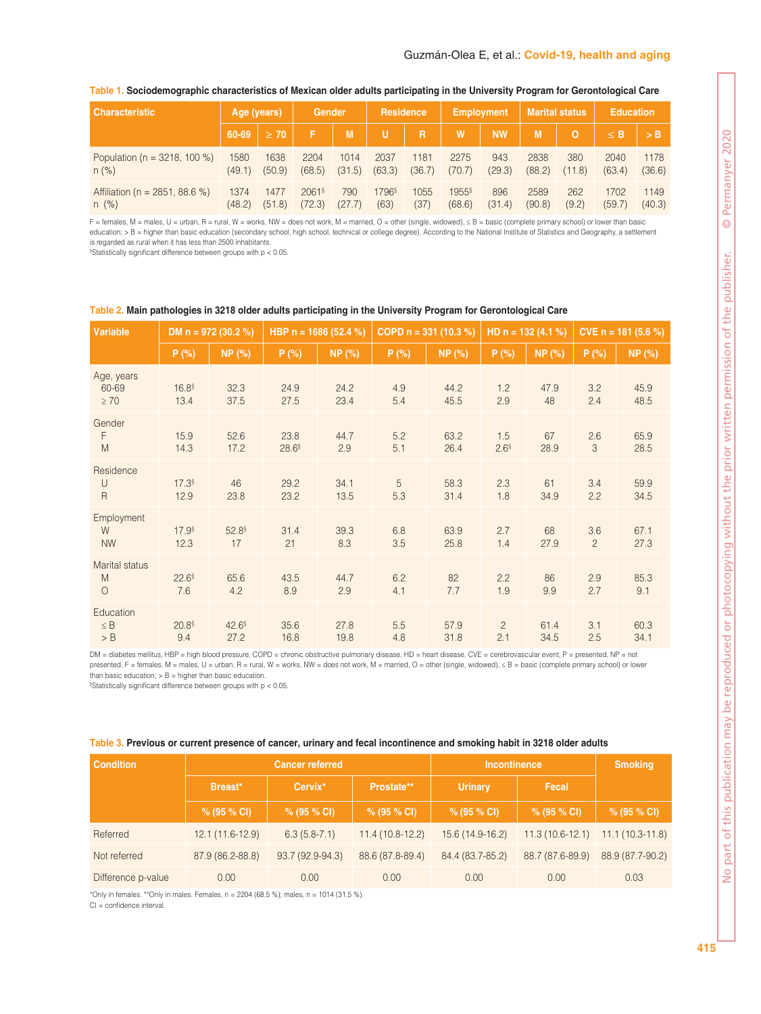| <b>Characteristic</b>            | Age (years) |           | Gender               |        | <b>Residence</b>  |                | <b>Employment</b>   |           | <b>Marital status</b> |        | <b>Education</b> |        |
|----------------------------------|-------------|-----------|----------------------|--------|-------------------|----------------|---------------------|-----------|-----------------------|--------|------------------|--------|
|                                  | 60-69       | $\geq 70$ |                      | M      | u                 | $\overline{R}$ | W                   | <b>NW</b> | M                     | O      | $\leq$ B         | /> B   |
| Population ( $n = 3218$ , 100 %) | 1580        | 1638      | 2204                 | 1014   | 2037              | 1181           | 2275                | 943       | 2838                  | 380    | 2040             | 1178   |
| $n (\%)$                         | (49.1)      | (50.9)    | (68.5)               | (31.5) | (63.3)            | (36.7)         | (70.7)              | (29.3)    | (88.2)                | (11.8) | (63.4)           | (36.6) |
| Affiliation (n = 2851, 88.6 %)   | 1374        | 1477      | $2061$ <sup>\$</sup> | 790    | 1796 <sup>§</sup> | 1055           | $1955$ <sup>§</sup> | 896       | 2589                  | 262    | 1702             | 1149   |
| n(%)                             | (48.2)      | (51.8)    | (72.3)               | (27.7) | (63)              | (37)           | (68.6)              | (31.4)    | (90.8)                | (9.2)  | (59.7)           | (40.3) |

#### **Table 1. Sociodemographic characteristics of Mexican older adults participating in the University Program for Gerontological Care**

F = females, M = males, U = urban, R = rural, W = works, NW = does not work, M = married, O = other (single, widowed), ≤ B = basic (complete primary school) or lower than basic education; > B = higher than basic education (secondary school, high school, technical or college degree). According to the National Institute of Statistics and Geography, a settlement is regarded as rural when it has less than 2500 inhabitants.

§ Statistically significant difference between groups with p < 0.05.

| Variable                              | DM $n = 972$ (30.2 %)       |              | HBP $n = 1686$ (52.4 %)   |              | COPD $n = 331 (10.3 %)$ |              | HD $n = 132(4.1%)$      |              | CVE $n = 181 (5.6 %)$ |              |
|---------------------------------------|-----------------------------|--------------|---------------------------|--------------|-------------------------|--------------|-------------------------|--------------|-----------------------|--------------|
|                                       | P(%)                        | NP(%)        | P(%)                      | NP(%)        | P(%)                    | NP (%)       | P(%)                    | NP (%)       | P(% )                 | NP (%)       |
| Age, years<br>60-69<br>$\geq 70$      | 16.8 <sup>§</sup><br>13.4   | 32.3<br>37.5 | 24.9<br>27.5              | 24.2<br>23.4 | 4.9<br>5.4              | 44.2<br>45.5 | 1.2<br>2.9              | 47.9<br>48   | 3.2<br>2.4            | 45.9<br>48.5 |
| Gender<br>F<br>M                      | 15.9<br>14.3                | 52.6<br>17.2 | 23.8<br>28.6 <sup>§</sup> | 44.7<br>2.9  | 5.2<br>5.1              | 63.2<br>26.4 | 1.5<br>2.6 <sup>§</sup> | 67<br>28.9   | 2.6<br>3              | 65.9<br>28.5 |
| Residence<br>$\cup$<br>$\overline{R}$ | $17.3$ <sup>§</sup><br>12.9 | 46<br>23.8   | 29.2<br>23.2              | 34.1<br>13.5 | 5<br>5.3                | 58.3<br>31.4 | 2.3<br>1.8              | 61<br>34.9   | 3.4<br>2.2            | 59.9<br>34.5 |
| Employment<br>W<br><b>NW</b>          | 17.9 <sup>§</sup><br>12.3   | 52.8<br>17   | 31.4<br>21                | 39.3<br>8.3  | 6.8<br>3.5              | 63.9<br>25.8 | 2.7<br>1.4              | 68<br>27.9   | 3.6<br>$\overline{2}$ | 67.1<br>27.3 |
| Marital status<br>M<br>$\circ$        | 22.6 <sup>§</sup><br>7.6    | 65.6<br>4.2  | 43.5<br>8.9               | 44.7<br>2.9  | 6.2<br>4.1              | 82<br>7.7    | 2.2<br>1.9              | 86<br>9.9    | 2.9<br>2.7            | 85.3<br>9.1  |
| Education<br>$\leq B$<br>$>$ B        | 20.8 <sup>§</sup><br>9.4    | 42.6<br>27.2 | 35.6<br>16.8              | 27.8<br>19.8 | 5.5<br>4.8              | 57.9<br>31.8 | $\overline{c}$<br>2.1   | 61.4<br>34.5 | 3.1<br>2.5            | 60.3<br>34.1 |

#### **Table 2. Main pathologies in 3218 older adults participating in the University Program for Gerontological Care**

DM = diabetes mellitus, HBP = high blood pressure, COPD = chronic obstructive pulmonary disease, HD = heart disease, CVE = cerebrovascular event, P = presented, NP = not presented, F = females, M = males, U = urban, R = rural, W = works, NW = does not work, M = married, O = other (single, widowed), ≤ B = basic (complete primary school) or lower than basic education;  $>$  B = higher than basic education.

§ Statistically significant difference between groups with p < 0.05.

|  | Table 3. Previous or current presence of cancer, urinary and fecal incontinence and smoking habit in 3218 older adults |  |
|--|------------------------------------------------------------------------------------------------------------------------|--|
|  |                                                                                                                        |  |

| <b>Condition</b>   |                   | <b>Cancer referred</b> |                   | <b>Incontinence</b> | <b>Smoking</b>    |                   |  |
|--------------------|-------------------|------------------------|-------------------|---------------------|-------------------|-------------------|--|
|                    | Breast*           | Cervix*                | Prostate**        | <b>Urinary</b>      | Fecal             |                   |  |
|                    | % (95 % CI)       | % (95 % CI)            | % (95 % CI)       | % (95 % CI)         | % (95 % CI)       | % (95 % CI)       |  |
| Referred           | $12.1(11.6-12.9)$ | $6.3(5.8-7.1)$         | $11.4(10.8-12.2)$ | 15.6 (14.9-16.2)    | $11.3(10.6-12.1)$ | $11.1(10.3-11.8)$ |  |
| Not referred       | 87.9 (86.2-88.8)  | 93.7 (92.9-94.3)       | 88.6 (87.8-89.4)  | 84.4 (83.7-85.2)    | 88.7 (87.6-89.9)  | 88.9 (87.7-90.2)  |  |
| Difference p-value | 0.00              | 0.00                   | 0.00              | 0.00                | 0.00              | 0.03              |  |

\*Only in females. \*\*Only in males. Females,  $n = 2204$  (68.5 %); males,  $n = 1014$  (31.5 %).

CI = confidence interval.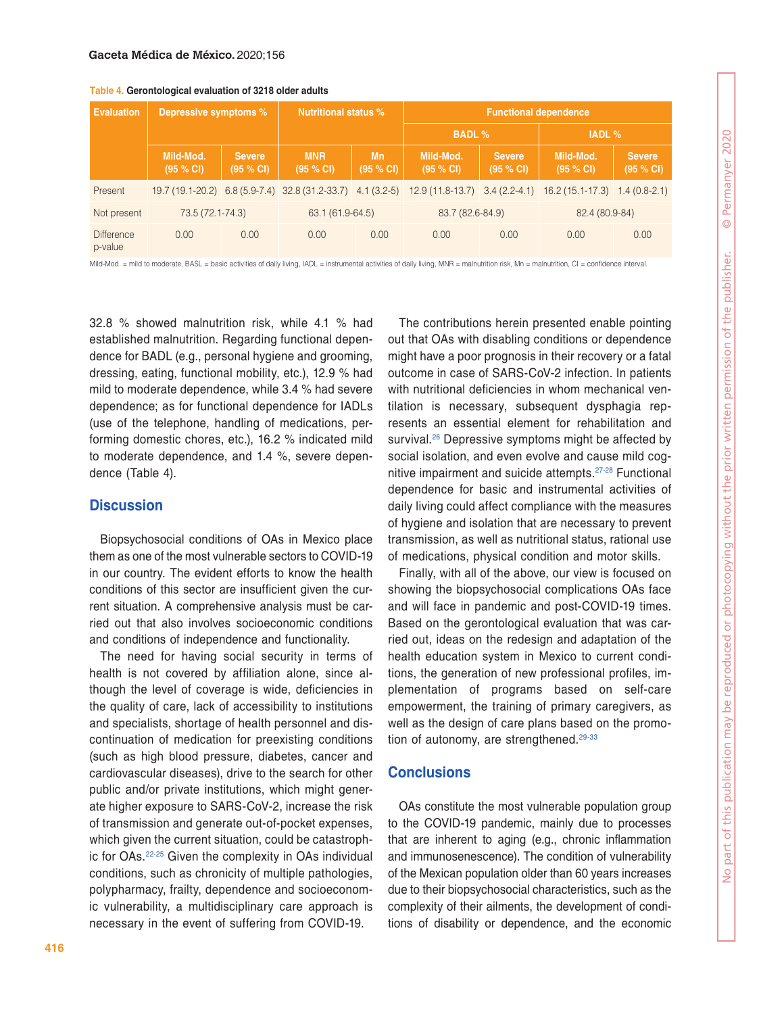| <b>Evaluation</b>            | Depressive symptoms %  |                            | <b>Nutritional status %</b>                                 |                  | <b>Functional dependence</b>    |                            |                        |                            |  |  |
|------------------------------|------------------------|----------------------------|-------------------------------------------------------------|------------------|---------------------------------|----------------------------|------------------------|----------------------------|--|--|
|                              |                        |                            |                                                             |                  | <b>BADL %</b>                   |                            | <b>IADL</b> %          |                            |  |  |
|                              | Mild-Mod.<br>(95 % CI) | <b>Severe</b><br>(95 % CI) | <b>MNR</b><br>(95 % CI)                                     | Mn<br>(95 % CI)  | Mild-Mod.<br>(95 % CI)          | <b>Severe</b><br>(95 % CI) | Mild-Mod.<br>(95 % CI) | <b>Severe</b><br>(95 % CI) |  |  |
| Present                      |                        |                            | 19.7 (19.1-20.2) 6.8 (5.9-7.4) 32.8 (31.2-33.7) 4.1 (3.2-5) |                  | $12.9(11.8-13.7)$ 3.4 (2.2-4.1) |                            | $16.2(15.1-17.3)$      | $1.4(0.8-2.1)$             |  |  |
| Not present                  |                        | 73.5 (72.1-74.3)           |                                                             | 63.1 (61.9-64.5) |                                 | 83.7 (82.6-84.9)           |                        | 82.4 (80.9-84)             |  |  |
| <b>Difference</b><br>p-value | 0.00                   | 0.00                       | 0.00                                                        | 0.00             | 0.00                            | 0.00                       | 0.00                   | 0.00                       |  |  |

**Table 4. Gerontological evaluation of 3218 older adults**

Mild-Mod. = mild to moderate, BASL = basic activities of daily living, IADL = instrumental activities of daily living, MNR = malnutrition risk, Mn = malnutrition, CI = confidence interval.

32.8 % showed malnutrition risk, while 4.1 % had established malnutrition. Regarding functional dependence for BADL (e.g., personal hygiene and grooming, dressing, eating, functional mobility, etc.), 12.9 % had mild to moderate dependence, while 3.4 % had severe dependence; as for functional dependence for IADLs (use of the telephone, handling of medications, performing domestic chores, etc.), 16.2 % indicated mild to moderate dependence, and 1.4 %, severe dependence (Table 4).

#### **Discussion**

Biopsychosocial conditions of OAs in Mexico place them as one of the most vulnerable sectors to COVID-19 in our country. The evident efforts to know the health conditions of this sector are insufficient given the current situation. A comprehensive analysis must be carried out that also involves socioeconomic conditions and conditions of independence and functionality.

The need for having social security in terms of health is not covered by affiliation alone, since although the level of coverage is wide, deficiencies in the quality of care, lack of accessibility to institutions and specialists, shortage of health personnel and discontinuation of medication for preexisting conditions (such as high blood pressure, diabetes, cancer and cardiovascular diseases), drive to the search for other public and/or private institutions, which might generate higher exposure to SARS-CoV-2, increase the risk of transmission and generate out-of-pocket expenses, which given the current situation, could be catastrophic for OAs.[22](#page-5-17)[-25](#page-5-18) Given the complexity in OAs individual conditions, such as chronicity of multiple pathologies, polypharmacy, frailty, dependence and socioeconomic vulnerability, a multidisciplinary care approach is necessary in the event of suffering from COVID-19.

The contributions herein presented enable pointing out that OAs with disabling conditions or dependence might have a poor prognosis in their recovery or a fatal outcome in case of SARS-CoV-2 infection. In patients with nutritional deficiencies in whom mechanical ventilation is necessary, subsequent dysphagia represents an essential element for rehabilitation and survival.<sup>26</sup> Depressive symptoms might be affected by social isolation, and even evolve and cause mild cognitive impairment and suicide attempts.[27-](#page-5-20)[28](#page-5-21) Functional dependence for basic and instrumental activities of daily living could affect compliance with the measures of hygiene and isolation that are necessary to prevent transmission, as well as nutritional status, rational use of medications, physical condition and motor skills.

Finally, with all of the above, our view is focused on showing the biopsychosocial complications OAs face and will face in pandemic and post-COVID-19 times. Based on the gerontological evaluation that was carried out, ideas on the redesign and adaptation of the health education system in Mexico to current conditions, the generation of new professional profiles, implementation of programs based on self-care empowerment, the training of primary caregivers, as well as the design of care plans based on the promotion of autonomy, are strengthened. $29-33$  $29-33$ 

## **Conclusions**

OAs constitute the most vulnerable population group to the COVID-19 pandemic, mainly due to processes that are inherent to aging (e.g., chronic inflammation and immunosenescence). The condition of vulnerability of the Mexican population older than 60 years increases due to their biopsychosocial characteristics, such as the complexity of their ailments, the development of conditions of disability or dependence, and the economic